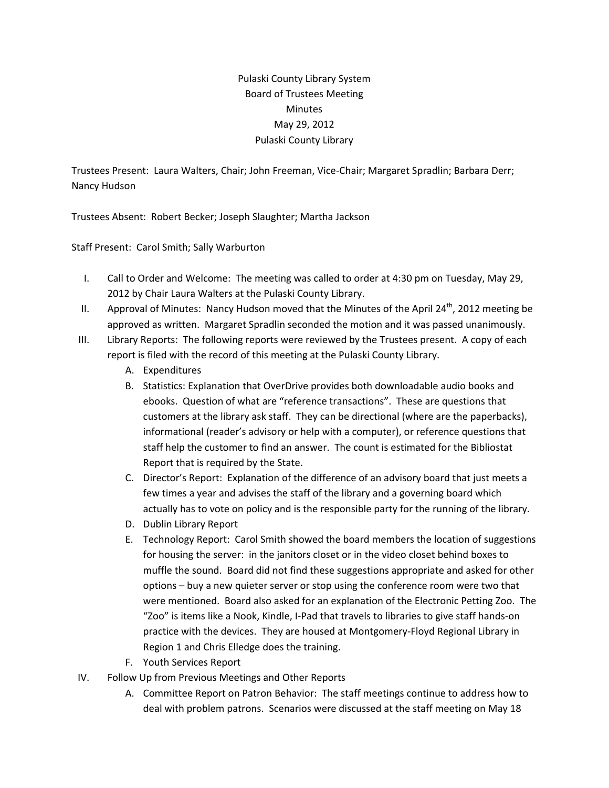## Pulaski County Library System Board of Trustees Meeting **Minutes** May 29, 2012 Pulaski County Library

Trustees Present: Laura Walters, Chair; John Freeman, Vice‐Chair; Margaret Spradlin; Barbara Derr; Nancy Hudson

Trustees Absent: Robert Becker; Joseph Slaughter; Martha Jackson

Staff Present: Carol Smith; Sally Warburton

- I. Call to Order and Welcome: The meeting was called to order at 4:30 pm on Tuesday, May 29, 2012 by Chair Laura Walters at the Pulaski County Library.
- II. Approval of Minutes: Nancy Hudson moved that the Minutes of the April 24<sup>th</sup>, 2012 meeting be approved as written. Margaret Spradlin seconded the motion and it was passed unanimously.
- III. Library Reports: The following reports were reviewed by the Trustees present. A copy of each report is filed with the record of this meeting at the Pulaski County Library.
	- A. Expenditures
	- B. Statistics: Explanation that OverDrive provides both downloadable audio books and ebooks. Question of what are "reference transactions". These are questions that customers at the library ask staff. They can be directional (where are the paperbacks), informational (reader's advisory or help with a computer), or reference questions that staff help the customer to find an answer. The count is estimated for the Bibliostat Report that is required by the State.
	- C. Director's Report: Explanation of the difference of an advisory board that just meets a few times a year and advises the staff of the library and a governing board which actually has to vote on policy and is the responsible party for the running of the library.
	- D. Dublin Library Report
	- E. Technology Report: Carol Smith showed the board members the location of suggestions for housing the server: in the janitors closet or in the video closet behind boxes to muffle the sound. Board did not find these suggestions appropriate and asked for other options – buy a new quieter server or stop using the conference room were two that were mentioned. Board also asked for an explanation of the Electronic Petting Zoo. The "Zoo" is items like a Nook, Kindle, I‐Pad that travels to libraries to give staff hands‐on practice with the devices. They are housed at Montgomery‐Floyd Regional Library in Region 1 and Chris Elledge does the training.
	- F. Youth Services Report
- IV. Follow Up from Previous Meetings and Other Reports
	- A. Committee Report on Patron Behavior: The staff meetings continue to address how to deal with problem patrons. Scenarios were discussed at the staff meeting on May 18